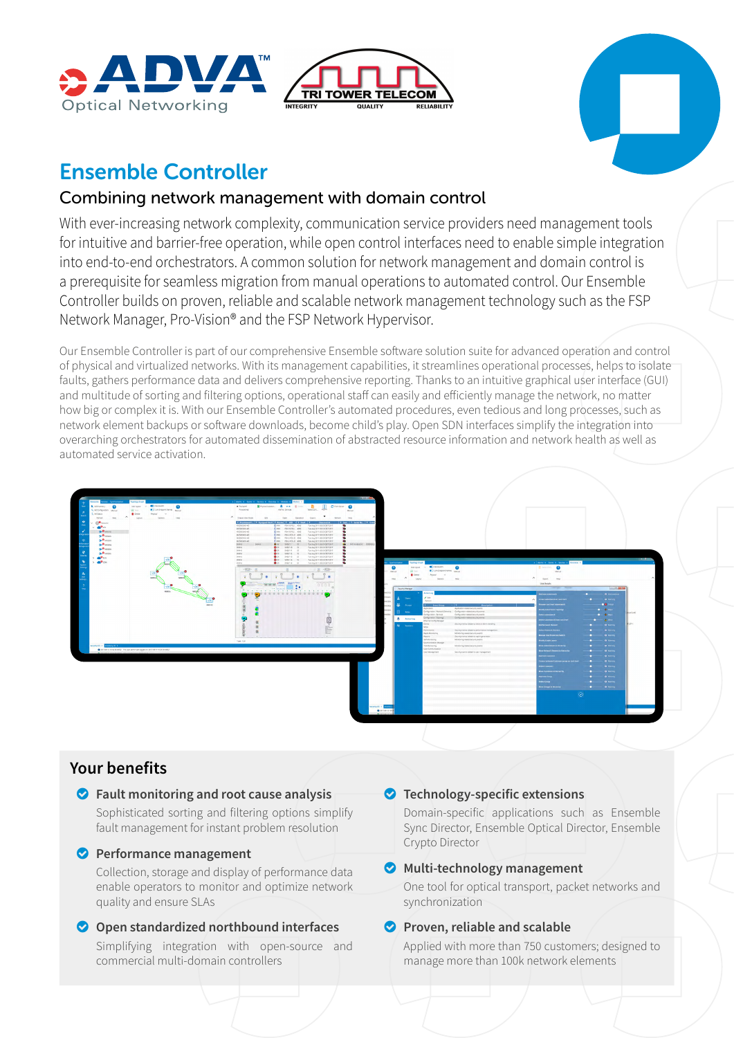





# Ensemble Controller

## Combining network management with domain control

With ever-increasing network complexity, communication service providers need management tools for intuitive and barrier-free operation, while open control interfaces need to enable simple integration into end-to-end orchestrators. A common solution for network management and domain control is a prerequisite for seamless migration from manual operations to automated control. Our Ensemble Controller builds on proven, reliable and scalable network management technology such as the FSP Network Manager, Pro-Vision® and the FSP Network Hypervisor.

Our Ensemble Controller is part of our comprehensive Ensemble software solution suite for advanced operation and control of physical and virtualized networks. With its management capabilities, it streamlines operational processes, helps to isolate faults, gathers performance data and delivers comprehensive reporting. Thanks to an intuitive graphical user interface (GUI) and multitude of sorting and filtering options, operational staff can easily and efficiently manage the network, no matter how big or complex it is. With our Ensemble Controller's automated procedures, even tedious and long processes, such as network element backups or software downloads, become child's play. Open SDN interfaces simplify the integration into overarching orchestrators for automated dissemination of abstracted resource information and network health as well as automated service activation.



## **Your benefits**

## o **Fault monitoring and root cause analysis**

Sophisticated sorting and filtering options simplify fault management for instant problem resolution

## **O** Performance management

Collection, storage and display of performance data enable operators to monitor and optimize network quality and ensure SLAs

## **O** Open standardized northbound interfaces

Simplifying integration with open-source and commercial multi-domain controllers

## o **Technology-specific extensions**

Domain-specific applications such as Ensemble Sync Director, Ensemble Optical Director, Ensemble Crypto Director

## o **Multi-technology management**

One tool for optical transport, packet networks and synchronization

## o **Proven, reliable and scalable**

Applied with more than 750 customers; designed to manage more than 100k network elements